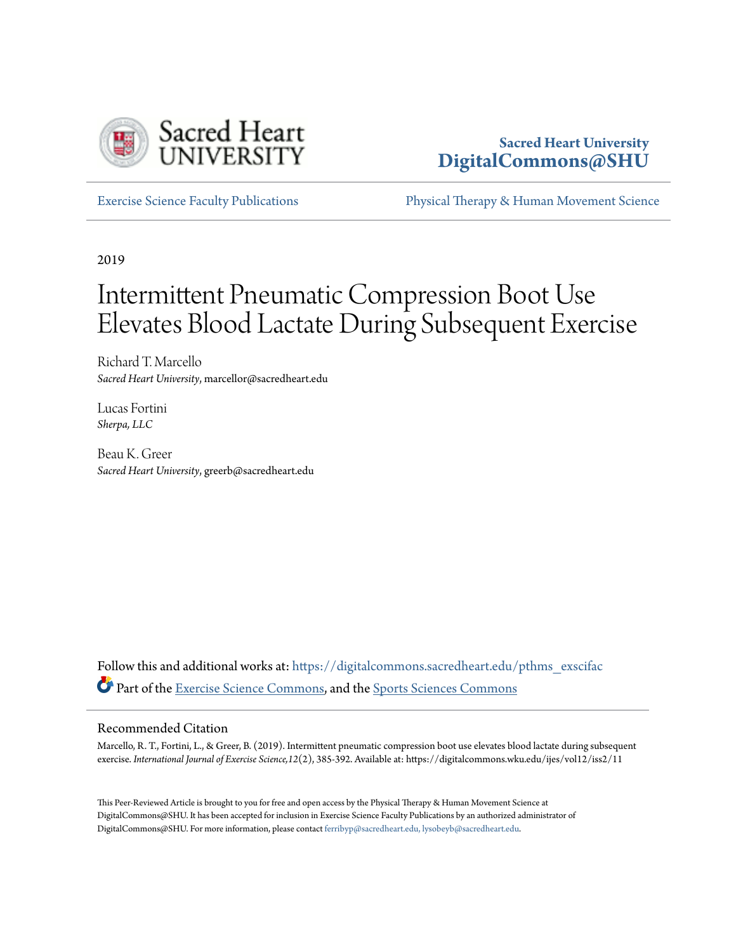

# **Sacred Heart University [DigitalCommons@SHU](https://digitalcommons.sacredheart.edu?utm_source=digitalcommons.sacredheart.edu%2Fpthms_exscifac%2F31&utm_medium=PDF&utm_campaign=PDFCoverPages)**

[Exercise Science Faculty Publications](https://digitalcommons.sacredheart.edu/pthms_exscifac?utm_source=digitalcommons.sacredheart.edu%2Fpthms_exscifac%2F31&utm_medium=PDF&utm_campaign=PDFCoverPages) [Physical Therapy & Human Movement Science](https://digitalcommons.sacredheart.edu/pthms?utm_source=digitalcommons.sacredheart.edu%2Fpthms_exscifac%2F31&utm_medium=PDF&utm_campaign=PDFCoverPages)

2019

# Intermittent Pneumatic Compression Boot Use Elevates Blood Lactate During Subsequent Exercise

Richard T. Marcello *Sacred Heart University*, marcellor@sacredheart.edu

Lucas Fortini *Sherpa, LLC*

Beau K. Greer *Sacred Heart University*, greerb@sacredheart.edu

Follow this and additional works at: [https://digitalcommons.sacredheart.edu/pthms\\_exscifac](https://digitalcommons.sacredheart.edu/pthms_exscifac?utm_source=digitalcommons.sacredheart.edu%2Fpthms_exscifac%2F31&utm_medium=PDF&utm_campaign=PDFCoverPages) Part of the [Exercise Science Commons,](http://network.bepress.com/hgg/discipline/1091?utm_source=digitalcommons.sacredheart.edu%2Fpthms_exscifac%2F31&utm_medium=PDF&utm_campaign=PDFCoverPages) and the [Sports Sciences Commons](http://network.bepress.com/hgg/discipline/759?utm_source=digitalcommons.sacredheart.edu%2Fpthms_exscifac%2F31&utm_medium=PDF&utm_campaign=PDFCoverPages)

#### Recommended Citation

Marcello, R. T., Fortini, L., & Greer, B. (2019). Intermittent pneumatic compression boot use elevates blood lactate during subsequent exercise. *International Journal of Exercise Science,12*(2), 385-392. Available at: https://digitalcommons.wku.edu/ijes/vol12/iss2/11

This Peer-Reviewed Article is brought to you for free and open access by the Physical Therapy & Human Movement Science at DigitalCommons@SHU. It has been accepted for inclusion in Exercise Science Faculty Publications by an authorized administrator of DigitalCommons@SHU. For more information, please contact [ferribyp@sacredheart.edu, lysobeyb@sacredheart.edu.](mailto:ferribyp@sacredheart.edu,%20lysobeyb@sacredheart.edu)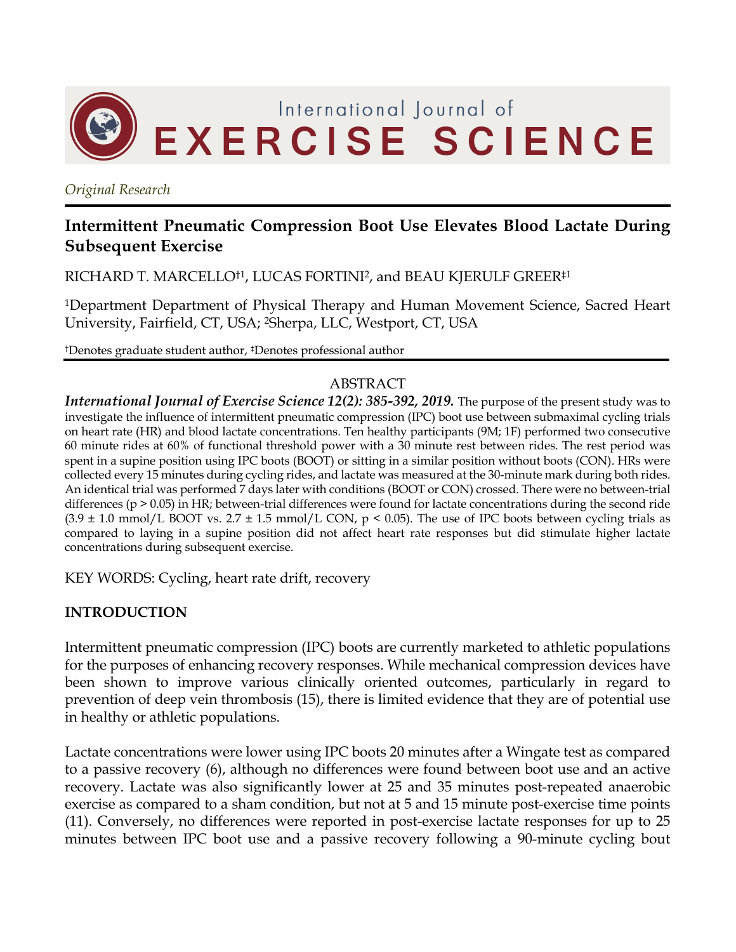

*Original Research*

# **Intermittent Pneumatic Compression Boot Use Elevates Blood Lactate During Subsequent Exercise**

RICHARD T. MARCELLO†1, LUCAS FORTINI2, and BEAU KJERULF GREER‡1

1Department Department of Physical Therapy and Human Movement Science, Sacred Heart University, Fairfield, CT, USA; 2Sherpa, LLC, Westport, CT, USA

†Denotes graduate student author, ‡Denotes professional author

#### ABSTRACT

*International Journal of Exercise Science 12(2): 385-392, 2019.* The purpose of the present study was to investigate the influence of intermittent pneumatic compression (IPC) boot use between submaximal cycling trials on heart rate (HR) and blood lactate concentrations. Ten healthy participants (9M; 1F) performed two consecutive 60 minute rides at 60% of functional threshold power with a 30 minute rest between rides. The rest period was spent in a supine position using IPC boots (BOOT) or sitting in a similar position without boots (CON). HRs were collected every 15 minutes during cycling rides, and lactate was measured at the 30-minute mark during both rides. An identical trial was performed 7 days later with conditions (BOOT or CON) crossed. There were no between-trial differences (p > 0.05) in HR; between-trial differences were found for lactate concentrations during the second ride  $(3.9 \pm 1.0 \text{ mmol/L } B$ OOT vs. 2.7  $\pm 1.5 \text{ mmol/L } C$ ON, p < 0.05). The use of IPC boots between cycling trials as compared to laying in a supine position did not affect heart rate responses but did stimulate higher lactate concentrations during subsequent exercise.

KEY WORDS: Cycling, heart rate drift, recovery

#### **INTRODUCTION**

Intermittent pneumatic compression (IPC) boots are currently marketed to athletic populations for the purposes of enhancing recovery responses. While mechanical compression devices have been shown to improve various clinically oriented outcomes, particularly in regard to prevention of deep vein thrombosis (15), there is limited evidence that they are of potential use in healthy or athletic populations.

Lactate concentrations were lower using IPC boots 20 minutes after a Wingate test as compared to a passive recovery (6), although no differences were found between boot use and an active recovery. Lactate was also significantly lower at 25 and 35 minutes post-repeated anaerobic exercise as compared to a sham condition, but not at 5 and 15 minute post-exercise time points (11). Conversely, no differences were reported in post-exercise lactate responses for up to 25 minutes between IPC boot use and a passive recovery following a 90-minute cycling bout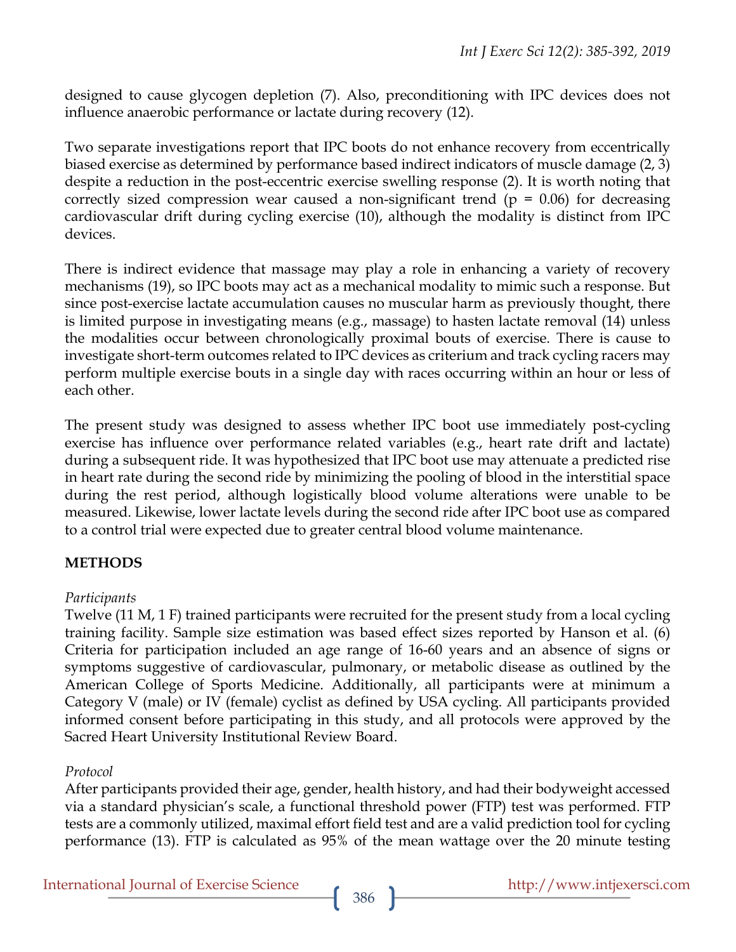designed to cause glycogen depletion (7). Also, preconditioning with IPC devices does not influence anaerobic performance or lactate during recovery (12).

Two separate investigations report that IPC boots do not enhance recovery from eccentrically biased exercise as determined by performance based indirect indicators of muscle damage (2, 3) despite a reduction in the post-eccentric exercise swelling response (2). It is worth noting that correctly sized compression wear caused a non-significant trend ( $p = 0.06$ ) for decreasing cardiovascular drift during cycling exercise (10), although the modality is distinct from IPC devices.

There is indirect evidence that massage may play a role in enhancing a variety of recovery mechanisms (19), so IPC boots may act as a mechanical modality to mimic such a response. But since post-exercise lactate accumulation causes no muscular harm as previously thought, there is limited purpose in investigating means (e.g., massage) to hasten lactate removal (14) unless the modalities occur between chronologically proximal bouts of exercise. There is cause to investigate short-term outcomes related to IPC devices as criterium and track cycling racers may perform multiple exercise bouts in a single day with races occurring within an hour or less of each other.

The present study was designed to assess whether IPC boot use immediately post-cycling exercise has influence over performance related variables (e.g., heart rate drift and lactate) during a subsequent ride. It was hypothesized that IPC boot use may attenuate a predicted rise in heart rate during the second ride by minimizing the pooling of blood in the interstitial space during the rest period, although logistically blood volume alterations were unable to be measured. Likewise, lower lactate levels during the second ride after IPC boot use as compared to a control trial were expected due to greater central blood volume maintenance.

## **METHODS**

#### *Participants*

Twelve (11 M, 1 F) trained participants were recruited for the present study from a local cycling training facility. Sample size estimation was based effect sizes reported by Hanson et al. (6) Criteria for participation included an age range of 16-60 years and an absence of signs or symptoms suggestive of cardiovascular, pulmonary, or metabolic disease as outlined by the American College of Sports Medicine. Additionally, all participants were at minimum a Category V (male) or IV (female) cyclist as defined by USA cycling. All participants provided informed consent before participating in this study, and all protocols were approved by the Sacred Heart University Institutional Review Board.

#### *Protocol*

After participants provided their age, gender, health history, and had their bodyweight accessed via a standard physician's scale, a functional threshold power (FTP) test was performed. FTP tests are a commonly utilized, maximal effort field test and are a valid prediction tool for cycling performance (13). FTP is calculated as 95% of the mean wattage over the 20 minute testing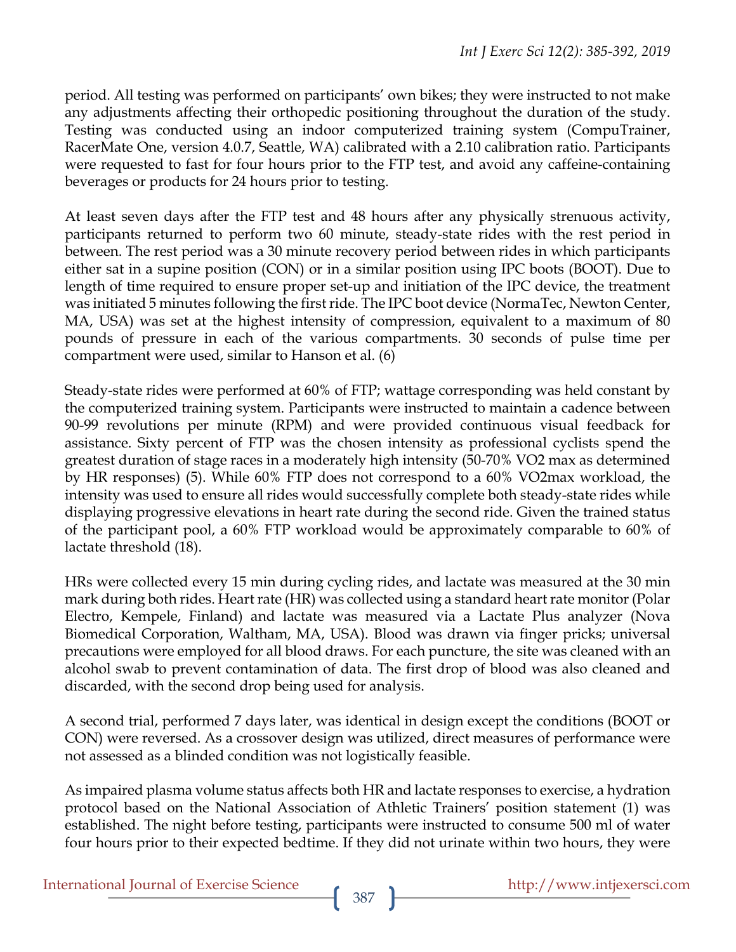period. All testing was performed on participants' own bikes; they were instructed to not make any adjustments affecting their orthopedic positioning throughout the duration of the study. Testing was conducted using an indoor computerized training system (CompuTrainer, RacerMate One, version 4.0.7, Seattle, WA) calibrated with a 2.10 calibration ratio. Participants were requested to fast for four hours prior to the FTP test, and avoid any caffeine-containing beverages or products for 24 hours prior to testing.

At least seven days after the FTP test and 48 hours after any physically strenuous activity, participants returned to perform two 60 minute, steady-state rides with the rest period in between. The rest period was a 30 minute recovery period between rides in which participants either sat in a supine position (CON) or in a similar position using IPC boots (BOOT). Due to length of time required to ensure proper set-up and initiation of the IPC device, the treatment was initiated 5 minutes following the first ride. The IPC boot device (NormaTec, Newton Center, MA, USA) was set at the highest intensity of compression, equivalent to a maximum of 80 pounds of pressure in each of the various compartments. 30 seconds of pulse time per compartment were used, similar to Hanson et al. (6)

Steady-state rides were performed at 60% of FTP; wattage corresponding was held constant by the computerized training system. Participants were instructed to maintain a cadence between 90-99 revolutions per minute (RPM) and were provided continuous visual feedback for assistance. Sixty percent of FTP was the chosen intensity as professional cyclists spend the greatest duration of stage races in a moderately high intensity (50-70% VO2 max as determined by HR responses) (5). While 60% FTP does not correspond to a 60% VO2max workload, the intensity was used to ensure all rides would successfully complete both steady-state rides while displaying progressive elevations in heart rate during the second ride. Given the trained status of the participant pool, a 60% FTP workload would be approximately comparable to 60% of lactate threshold (18).

HRs were collected every 15 min during cycling rides, and lactate was measured at the 30 min mark during both rides. Heart rate (HR) was collected using a standard heart rate monitor (Polar Electro, Kempele, Finland) and lactate was measured via a Lactate Plus analyzer (Nova Biomedical Corporation, Waltham, MA, USA). Blood was drawn via finger pricks; universal precautions were employed for all blood draws. For each puncture, the site was cleaned with an alcohol swab to prevent contamination of data. The first drop of blood was also cleaned and discarded, with the second drop being used for analysis.

A second trial, performed 7 days later, was identical in design except the conditions (BOOT or CON) were reversed. As a crossover design was utilized, direct measures of performance were not assessed as a blinded condition was not logistically feasible.

As impaired plasma volume status affects both HR and lactate responses to exercise, a hydration protocol based on the National Association of Athletic Trainers' position statement (1) was established. The night before testing, participants were instructed to consume 500 ml of water four hours prior to their expected bedtime. If they did not urinate within two hours, they were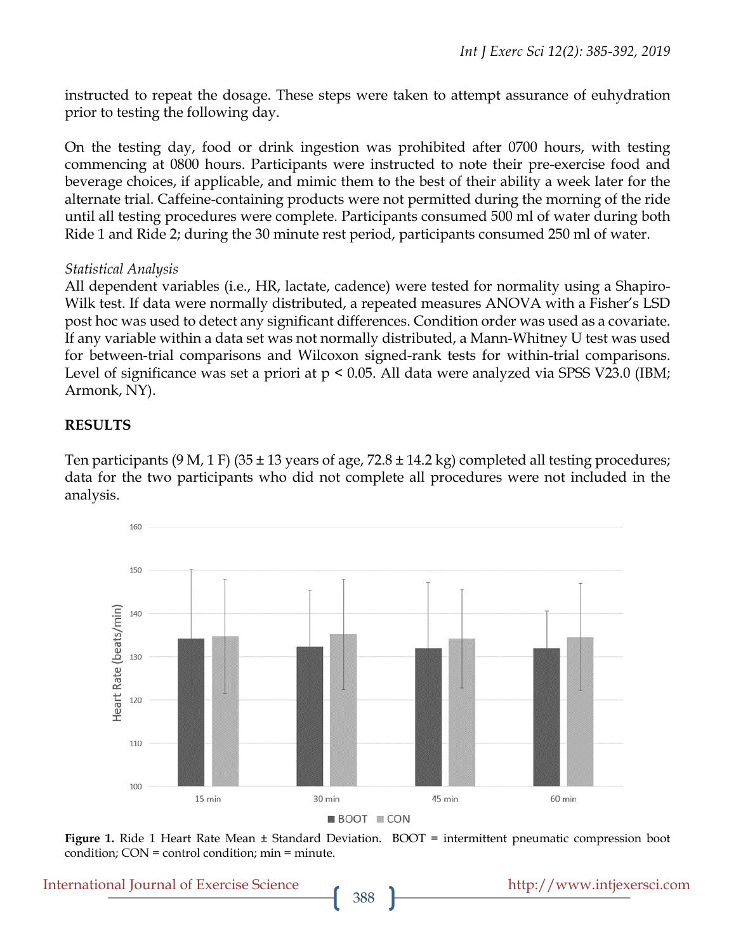instructed to repeat the dosage. These steps were taken to attempt assurance of euhydration prior to testing the following day.

On the testing day, food or drink ingestion was prohibited after 0700 hours, with testing commencing at 0800 hours. Participants were instructed to note their pre-exercise food and beverage choices, if applicable, and mimic them to the best of their ability a week later for the alternate trial. Caffeine-containing products were not permitted during the morning of the ride until all testing procedures were complete. Participants consumed 500 ml of water during both Ride 1 and Ride 2; during the 30 minute rest period, participants consumed 250 ml of water.

#### *Statistical Analysis*

All dependent variables (i.e., HR, lactate, cadence) were tested for normality using a Shapiro-Wilk test. If data were normally distributed, a repeated measures ANOVA with a Fisher's LSD post hoc was used to detect any significant differences. Condition order was used as a covariate. If any variable within a data set was not normally distributed, a Mann-Whitney U test was used for between-trial comparisons and Wilcoxon signed-rank tests for within-trial comparisons. Level of significance was set a priori at  $p < 0.05$ . All data were analyzed via SPSS V23.0 (IBM; Armonk, NY).

#### **RESULTS**

Ten participants (9 M, 1 F) (35  $\pm$  13 years of age, 72.8  $\pm$  14.2 kg) completed all testing procedures; data for the two participants who did not complete all procedures were not included in the analysis.



**Figure 1.** Ride 1 Heart Rate Mean ± Standard Deviation. BOOT = intermittent pneumatic compression boot condition; CON = control condition; min = minute.

International Journal of Exercise Science http://www.intjexersci.com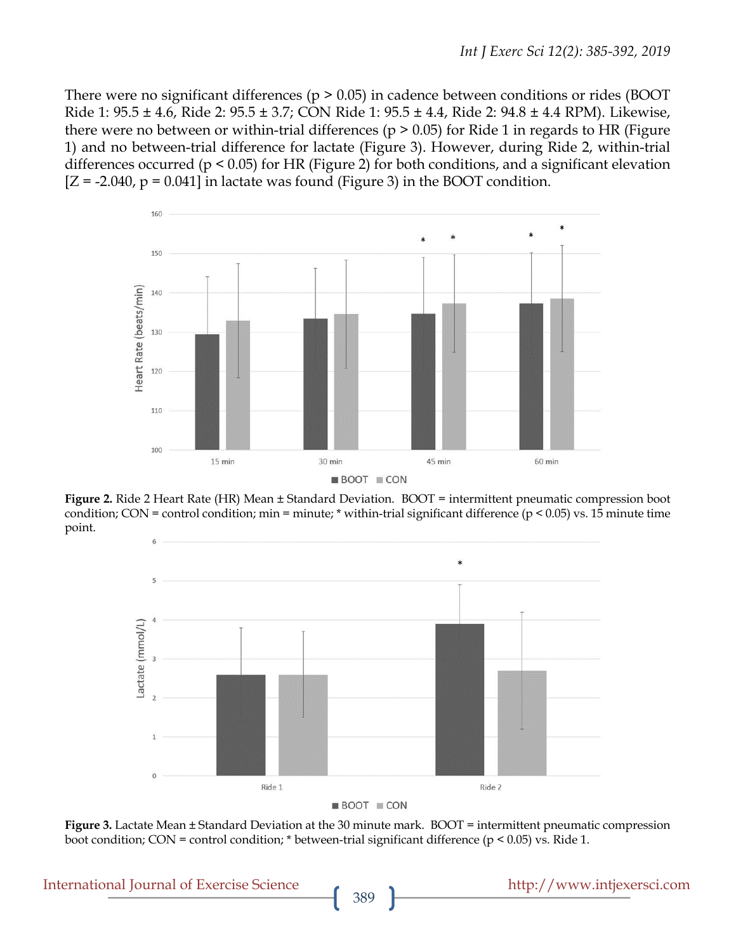There were no significant differences ( $p > 0.05$ ) in cadence between conditions or rides (BOOT Ride 1: 95.5 ± 4.6, Ride 2: 95.5 ± 3.7; CON Ride 1: 95.5 ± 4.4, Ride 2: 94.8 ± 4.4 RPM). Likewise, there were no between or within-trial differences ( $p > 0.05$ ) for Ride 1 in regards to HR (Figure 1) and no between-trial difference for lactate (Figure 3). However, during Ride 2, within-trial differences occurred (p < 0.05) for HR (Figure 2) for both conditions, and a significant elevation  $[Z = -2.040, p = 0.041]$  in lactate was found (Figure 3) in the BOOT condition.



**Figure 2.** Ride 2 Heart Rate (HR) Mean ± Standard Deviation. BOOT = intermittent pneumatic compression boot condition; CON = control condition; min = minute; \* within-trial significant difference ( $p < 0.05$ ) vs. 15 minute time point.



**Figure 3.** Lactate Mean  $\pm$  Standard Deviation at the 30 minute mark. BOOT = intermittent pneumatic compression boot condition; CON = control condition; \* between-trial significant difference ( $p < 0.05$ ) vs. Ride 1.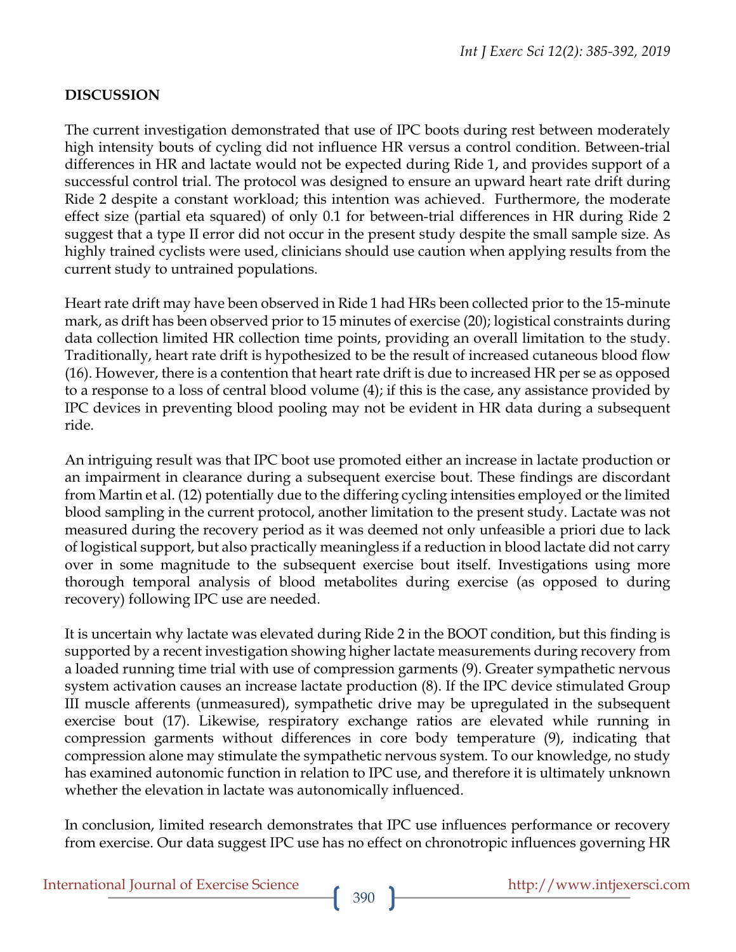### **DISCUSSION**

The current investigation demonstrated that use of IPC boots during rest between moderately high intensity bouts of cycling did not influence HR versus a control condition. Between-trial differences in HR and lactate would not be expected during Ride 1, and provides support of a successful control trial. The protocol was designed to ensure an upward heart rate drift during Ride 2 despite a constant workload; this intention was achieved. Furthermore, the moderate effect size (partial eta squared) of only 0.1 for between-trial differences in HR during Ride 2 suggest that a type II error did not occur in the present study despite the small sample size. As highly trained cyclists were used, clinicians should use caution when applying results from the current study to untrained populations.

Heart rate drift may have been observed in Ride 1 had HRs been collected prior to the 15-minute mark, as drift has been observed prior to 15 minutes of exercise (20); logistical constraints during data collection limited HR collection time points, providing an overall limitation to the study. Traditionally, heart rate drift is hypothesized to be the result of increased cutaneous blood flow (16). However, there is a contention that heart rate drift is due to increased HR per se as opposed to a response to a loss of central blood volume (4); if this is the case, any assistance provided by IPC devices in preventing blood pooling may not be evident in HR data during a subsequent ride.

An intriguing result was that IPC boot use promoted either an increase in lactate production or an impairment in clearance during a subsequent exercise bout. These findings are discordant from Martin et al. (12) potentially due to the differing cycling intensities employed or the limited blood sampling in the current protocol, another limitation to the present study. Lactate was not measured during the recovery period as it was deemed not only unfeasible a priori due to lack of logistical support, but also practically meaningless if a reduction in blood lactate did not carry over in some magnitude to the subsequent exercise bout itself. Investigations using more thorough temporal analysis of blood metabolites during exercise (as opposed to during recovery) following IPC use are needed.

It is uncertain why lactate was elevated during Ride 2 in the BOOT condition, but this finding is supported by a recent investigation showing higher lactate measurements during recovery from a loaded running time trial with use of compression garments (9). Greater sympathetic nervous system activation causes an increase lactate production (8). If the IPC device stimulated Group III muscle afferents (unmeasured), sympathetic drive may be upregulated in the subsequent exercise bout (17). Likewise, respiratory exchange ratios are elevated while running in compression garments without differences in core body temperature (9), indicating that compression alone may stimulate the sympathetic nervous system. To our knowledge, no study has examined autonomic function in relation to IPC use, and therefore it is ultimately unknown whether the elevation in lactate was autonomically influenced.

In conclusion, limited research demonstrates that IPC use influences performance or recovery from exercise. Our data suggest IPC use has no effect on chronotropic influences governing HR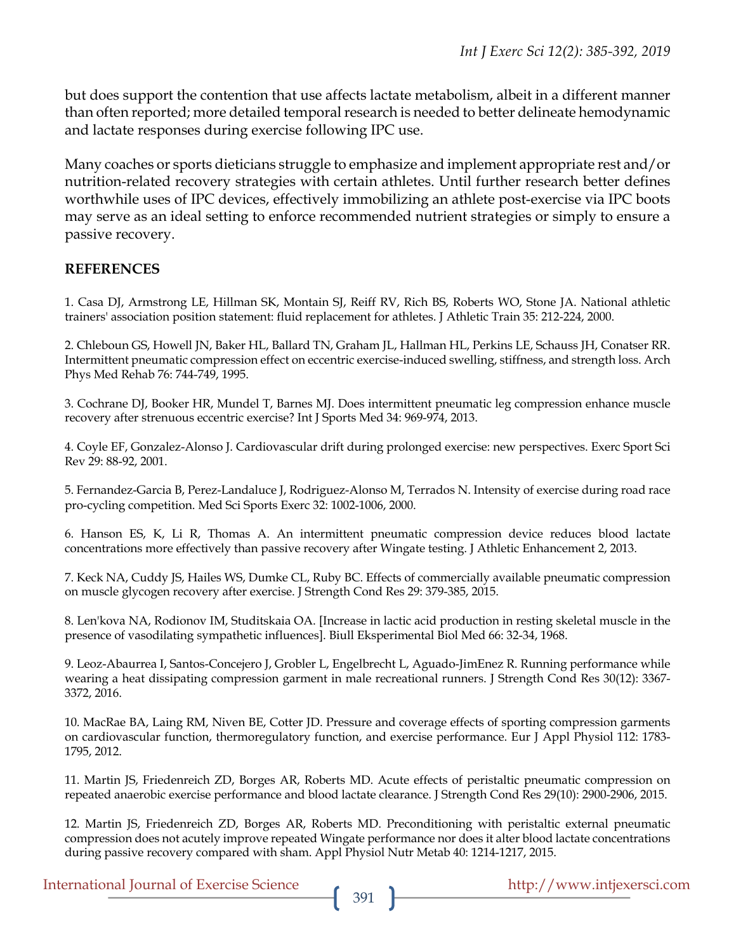but does support the contention that use affects lactate metabolism, albeit in a different manner than often reported; more detailed temporal research is needed to better delineate hemodynamic and lactate responses during exercise following IPC use.

Many coaches or sports dieticians struggle to emphasize and implement appropriate rest and/or nutrition-related recovery strategies with certain athletes. Until further research better defines worthwhile uses of IPC devices, effectively immobilizing an athlete post-exercise via IPC boots may serve as an ideal setting to enforce recommended nutrient strategies or simply to ensure a passive recovery.

#### **REFERENCES**

1. Casa DJ, Armstrong LE, Hillman SK, Montain SJ, Reiff RV, Rich BS, Roberts WO, Stone JA. National athletic trainers' association position statement: fluid replacement for athletes. J Athletic Train 35: 212-224, 2000.

2. Chleboun GS, Howell JN, Baker HL, Ballard TN, Graham JL, Hallman HL, Perkins LE, Schauss JH, Conatser RR. Intermittent pneumatic compression effect on eccentric exercise-induced swelling, stiffness, and strength loss. Arch Phys Med Rehab 76: 744-749, 1995.

3. Cochrane DJ, Booker HR, Mundel T, Barnes MJ. Does intermittent pneumatic leg compression enhance muscle recovery after strenuous eccentric exercise? Int J Sports Med 34: 969-974, 2013.

4. Coyle EF, Gonzalez-Alonso J. Cardiovascular drift during prolonged exercise: new perspectives. Exerc Sport Sci Rev 29: 88-92, 2001.

5. Fernandez-Garcia B, Perez-Landaluce J, Rodriguez-Alonso M, Terrados N. Intensity of exercise during road race pro-cycling competition. Med Sci Sports Exerc 32: 1002-1006, 2000.

6. Hanson ES, K, Li R, Thomas A. An intermittent pneumatic compression device reduces blood lactate concentrations more effectively than passive recovery after Wingate testing. J Athletic Enhancement 2, 2013.

7. Keck NA, Cuddy JS, Hailes WS, Dumke CL, Ruby BC. Effects of commercially available pneumatic compression on muscle glycogen recovery after exercise. J Strength Cond Res 29: 379-385, 2015.

8. Len'kova NA, Rodionov IM, Studitskaia OA. [Increase in lactic acid production in resting skeletal muscle in the presence of vasodilating sympathetic influences]. Biull Eksperimental Biol Med 66: 32-34, 1968.

9. Leoz-Abaurrea I, Santos-Concejero J, Grobler L, Engelbrecht L, Aguado-JimEnez R. Running performance while wearing a heat dissipating compression garment in male recreational runners. J Strength Cond Res 30(12): 3367- 3372, 2016.

10. MacRae BA, Laing RM, Niven BE, Cotter JD. Pressure and coverage effects of sporting compression garments on cardiovascular function, thermoregulatory function, and exercise performance. Eur J Appl Physiol 112: 1783- 1795, 2012.

11. Martin JS, Friedenreich ZD, Borges AR, Roberts MD. Acute effects of peristaltic pneumatic compression on repeated anaerobic exercise performance and blood lactate clearance. J Strength Cond Res 29(10): 2900-2906, 2015.

12. Martin JS, Friedenreich ZD, Borges AR, Roberts MD. Preconditioning with peristaltic external pneumatic compression does not acutely improve repeated Wingate performance nor does it alter blood lactate concentrations during passive recovery compared with sham. Appl Physiol Nutr Metab 40: 1214-1217, 2015.